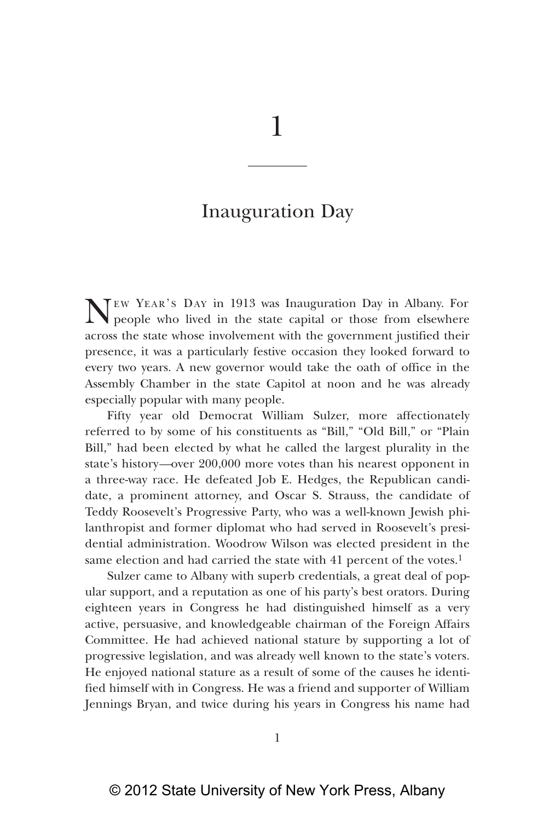## Inauguration Day

NEW YEAR'S DAY in 1913 was Inauguration Day in Albany. For<br>people who lived in the state capital or those from elsewhere across the state whose involvement with the government justified their presence, it was a particularly festive occasion they looked forward to every two years. A new governor would take the oath of office in the Assembly Chamber in the state Capitol at noon and he was already especially popular with many people.

Fifty year old Democrat William Sulzer, more affectionately referred to by some of his constituents as "Bill," "Old Bill," or "Plain Bill," had been elected by what he called the largest plurality in the state's history*—*over 200,000 more votes than his nearest opponent in a three-way race. He defeated Job E. Hedges, the Republican candidate, a prominent attorney, and Oscar S. Strauss, the candidate of Teddy Roosevelt's Progressive Party, who was a well-known Jewish philanthropist and former diplomat who had served in Roosevelt's presidential administration. Woodrow Wilson was elected president in the same election and had carried the state with 41 percent of the votes.<sup>1</sup>

Sulzer came to Albany with superb credentials, a great deal of popular support, and a reputation as one of his party's best orators. During eighteen years in Congress he had distinguished himself as a very active, persuasive, and knowledgeable chairman of the Foreign Affairs Committee. He had achieved national stature by supporting a lot of progressive legislation, and was already well known to the state's voters. He enjoyed national stature as a result of some of the causes he identified himself with in Congress. He was a friend and supporter of William Jennings Bryan, and twice during his years in Congress his name had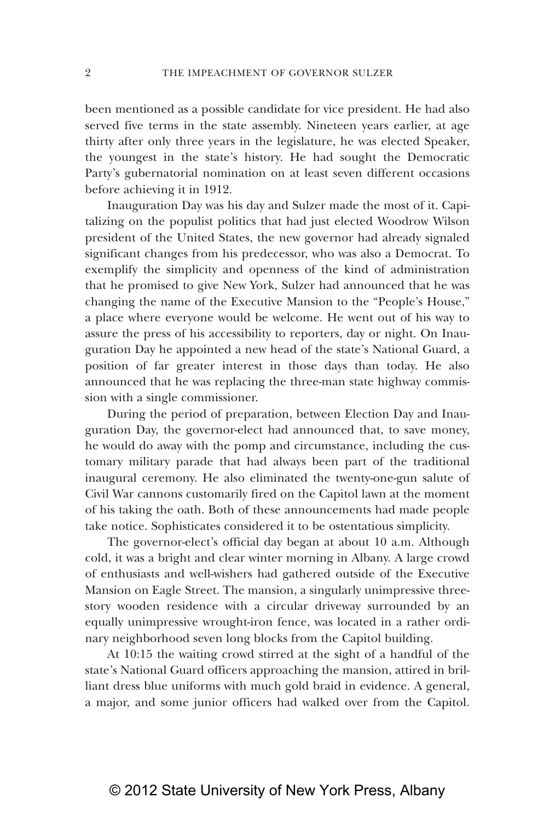been mentioned as a possible candidate for vice president. He had also served five terms in the state assembly. Nineteen years earlier, at age thirty after only three years in the legislature, he was elected Speaker, the youngest in the state's history. He had sought the Democratic Party's gubernatorial nomination on at least seven different occasions before achieving it in 1912.

Inauguration Day was his day and Sulzer made the most of it. Capitalizing on the populist politics that had just elected Woodrow Wilson president of the United States, the new governor had already signaled significant changes from his predecessor, who was also a Democrat. To exemplify the simplicity and openness of the kind of administration that he promised to give New York, Sulzer had announced that he was changing the name of the Executive Mansion to the "People's House," a place where everyone would be welcome. He went out of his way to assure the press of his accessibility to reporters, day or night. On Inauguration Day he appointed a new head of the state's National Guard, a position of far greater interest in those days than today. He also announced that he was replacing the three-man state highway commission with a single commissioner.

During the period of preparation, between Election Day and Inauguration Day, the governor-elect had announced that, to save money, he would do away with the pomp and circumstance, including the customary military parade that had always been part of the traditional inaugural ceremony. He also eliminated the twenty-one-gun salute of Civil War cannons customarily fired on the Capitol lawn at the moment of his taking the oath. Both of these announcements had made people take notice. Sophisticates considered it to be ostentatious simplicity.

The governor-elect's official day began at about 10 a.m. Although cold, it was a bright and clear winter morning in Albany. A large crowd of enthusiasts and well-wishers had gathered outside of the Executive Mansion on Eagle Street. The mansion, a singularly unimpressive threestory wooden residence with a circular driveway surrounded by an equally unimpressive wrought-iron fence, was located in a rather ordinary neighborhood seven long blocks from the Capitol building.

At 10:15 the waiting crowd stirred at the sight of a handful of the state's National Guard officers approaching the mansion, attired in brilliant dress blue uniforms with much gold braid in evidence. A general, a major, and some junior officers had walked over from the Capitol.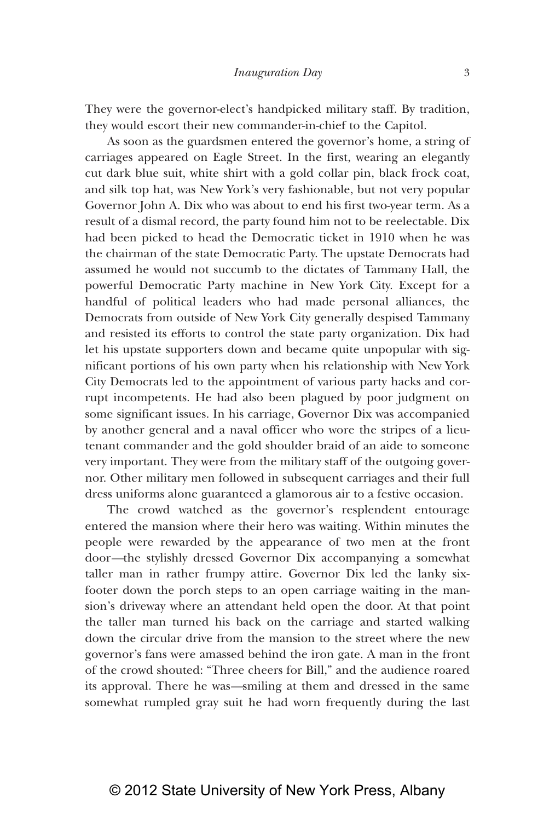They were the governor-elect's handpicked military staff. By tradition, they would escort their new commander-in-chief to the Capitol.

As soon as the guardsmen entered the governor's home, a string of carriages appeared on Eagle Street. In the first, wearing an elegantly cut dark blue suit, white shirt with a gold collar pin, black frock coat, and silk top hat, was New York's very fashionable, but not very popular Governor John A. Dix who was about to end his first two-year term. As a result of a dismal record, the party found him not to be reelectable. Dix had been picked to head the Democratic ticket in 1910 when he was the chairman of the state Democratic Party. The upstate Democrats had assumed he would not succumb to the dictates of Tammany Hall, the powerful Democratic Party machine in New York City. Except for a handful of political leaders who had made personal alliances, the Democrats from outside of New York City generally despised Tammany and resisted its efforts to control the state party organization. Dix had let his upstate supporters down and became quite unpopular with significant portions of his own party when his relationship with New York City Democrats led to the appointment of various party hacks and corrupt incompetents. He had also been plagued by poor judgment on some significant issues. In his carriage, Governor Dix was accompanied by another general and a naval officer who wore the stripes of a lieutenant commander and the gold shoulder braid of an aide to someone very important. They were from the military staff of the outgoing governor. Other military men followed in subsequent carriages and their full dress uniforms alone guaranteed a glamorous air to a festive occasion.

The crowd watched as the governor's resplendent entourage entered the mansion where their hero was waiting. Within minutes the people were rewarded by the appearance of two men at the front door*—*the stylishly dressed Governor Dix accompanying a somewhat taller man in rather frumpy attire. Governor Dix led the lanky sixfooter down the porch steps to an open carriage waiting in the mansion's driveway where an attendant held open the door. At that point the taller man turned his back on the carriage and started walking down the circular drive from the mansion to the street where the new governor's fans were amassed behind the iron gate. A man in the front of the crowd shouted: "Three cheers for Bill," and the audience roared its approval. There he was*—*smiling at them and dressed in the same somewhat rumpled gray suit he had worn frequently during the last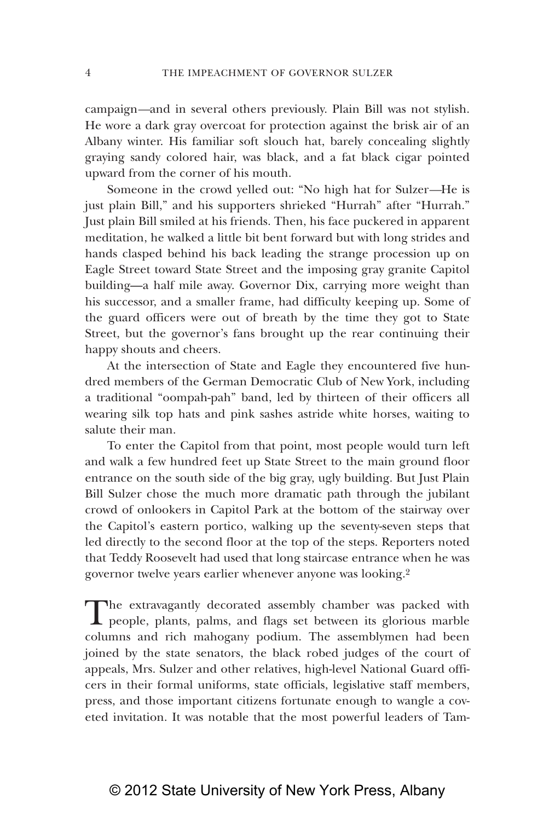campaign*—*and in several others previously. Plain Bill was not stylish. He wore a dark gray overcoat for protection against the brisk air of an Albany winter. His familiar soft slouch hat, barely concealing slightly graying sandy colored hair, was black, and a fat black cigar pointed upward from the corner of his mouth.

Someone in the crowd yelled out: "No high hat for Sulzer*—*He is just plain Bill," and his supporters shrieked "Hurrah" after "Hurrah." Just plain Bill smiled at his friends. Then, his face puckered in apparent meditation, he walked a little bit bent forward but with long strides and hands clasped behind his back leading the strange procession up on Eagle Street toward State Street and the imposing gray granite Capitol building—a half mile away. Governor Dix, carrying more weight than his successor, and a smaller frame, had difficulty keeping up. Some of the guard officers were out of breath by the time they got to State Street, but the governor's fans brought up the rear continuing their happy shouts and cheers.

At the intersection of State and Eagle they encountered five hundred members of the German Democratic Club of New York, including a traditional "oompah-pah" band, led by thirteen of their officers all wearing silk top hats and pink sashes astride white horses, waiting to salute their man.

To enter the Capitol from that point, most people would turn left and walk a few hundred feet up State Street to the main ground floor entrance on the south side of the big gray, ugly building. But Just Plain Bill Sulzer chose the much more dramatic path through the jubilant crowd of onlookers in Capitol Park at the bottom of the stairway over the Capitol's eastern portico, walking up the seventy-seven steps that led directly to the second floor at the top of the steps. Reporters noted that Teddy Roosevelt had used that long staircase entrance when he was governor twelve years earlier whenever anyone was looking.2

The extravagantly decorated assembly chamber was packed with<br>people, plants, palms, and flags set between its glorious marble columns and rich mahogany podium. The assemblymen had been joined by the state senators, the black robed judges of the court of appeals, Mrs. Sulzer and other relatives, high-level National Guard officers in their formal uniforms, state officials, legislative staff members, press, and those important citizens fortunate enough to wangle a coveted invitation. It was notable that the most powerful leaders of Tam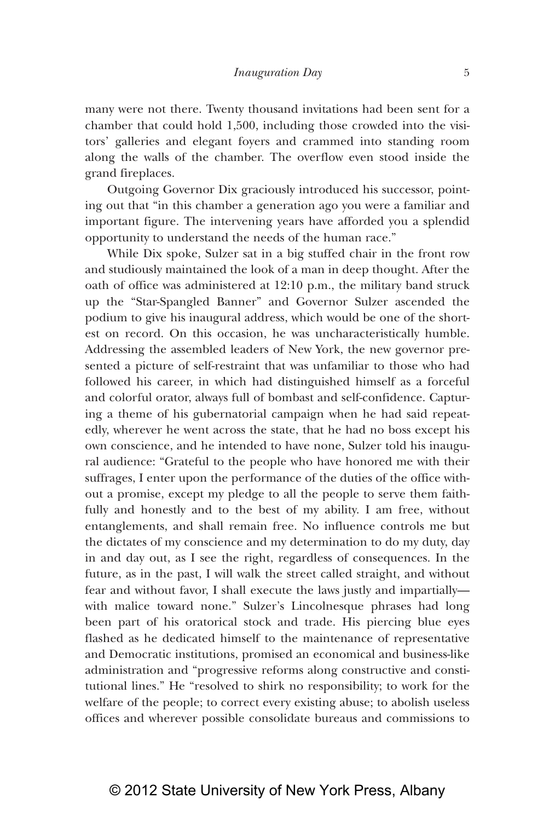many were not there. Twenty thousand invitations had been sent for a chamber that could hold 1,500, including those crowded into the visitors' galleries and elegant foyers and crammed into standing room along the walls of the chamber. The overflow even stood inside the grand fireplaces.

Outgoing Governor Dix graciously introduced his successor, pointing out that "in this chamber a generation ago you were a familiar and important figure. The intervening years have afforded you a splendid opportunity to understand the needs of the human race."

While Dix spoke, Sulzer sat in a big stuffed chair in the front row and studiously maintained the look of a man in deep thought. After the oath of office was administered at 12:10 p.m., the military band struck up the "Star-Spangled Banner" and Governor Sulzer ascended the podium to give his inaugural address, which would be one of the shortest on record. On this occasion, he was uncharacteristically humble. Addressing the assembled leaders of New York, the new governor presented a picture of self-restraint that was unfamiliar to those who had followed his career, in which had distinguished himself as a forceful and colorful orator, always full of bombast and self-confidence. Capturing a theme of his gubernatorial campaign when he had said repeatedly, wherever he went across the state, that he had no boss except his own conscience, and he intended to have none, Sulzer told his inaugural audience: "Grateful to the people who have honored me with their suffrages, I enter upon the performance of the duties of the office without a promise, except my pledge to all the people to serve them faithfully and honestly and to the best of my ability. I am free, without entanglements, and shall remain free. No influence controls me but the dictates of my conscience and my determination to do my duty, day in and day out, as I see the right, regardless of consequences. In the future, as in the past, I will walk the street called straight, and without fear and without favor, I shall execute the laws justly and impartially with malice toward none." Sulzer's Lincolnesque phrases had long been part of his oratorical stock and trade. His piercing blue eyes flashed as he dedicated himself to the maintenance of representative and Democratic institutions, promised an economical and business-like administration and "progressive reforms along constructive and constitutional lines." He "resolved to shirk no responsibility; to work for the welfare of the people; to correct every existing abuse; to abolish useless offices and wherever possible consolidate bureaus and commissions to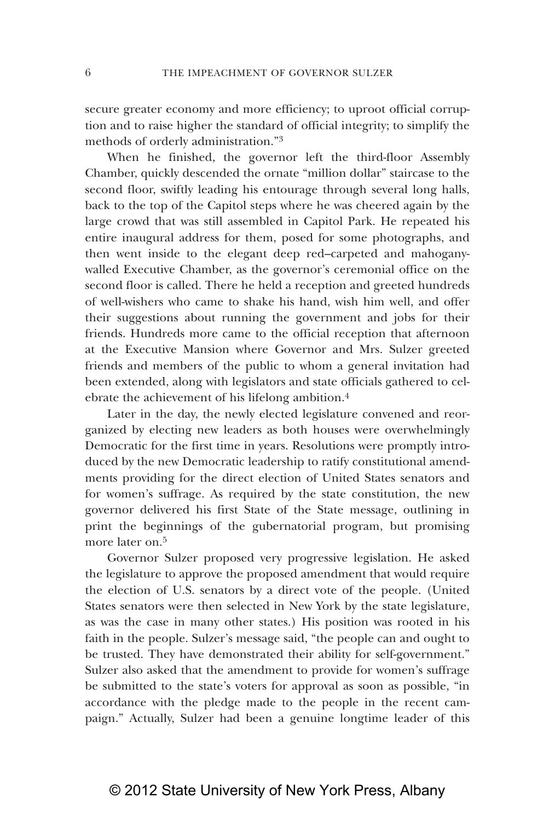secure greater economy and more efficiency; to uproot official corruption and to raise higher the standard of official integrity; to simplify the methods of orderly administration."3

When he finished, the governor left the third-floor Assembly Chamber, quickly descended the ornate "million dollar" staircase to the second floor, swiftly leading his entourage through several long halls, back to the top of the Capitol steps where he was cheered again by the large crowd that was still assembled in Capitol Park. He repeated his entire inaugural address for them, posed for some photographs, and then went inside to the elegant deep red–carpeted and mahoganywalled Executive Chamber, as the governor's ceremonial office on the second floor is called. There he held a reception and greeted hundreds of well-wishers who came to shake his hand, wish him well, and offer their suggestions about running the government and jobs for their friends. Hundreds more came to the official reception that afternoon at the Executive Mansion where Governor and Mrs. Sulzer greeted friends and members of the public to whom a general invitation had been extended, along with legislators and state officials gathered to celebrate the achievement of his lifelong ambition.4

Later in the day, the newly elected legislature convened and reorganized by electing new leaders as both houses were overwhelmingly Democratic for the first time in years. Resolutions were promptly introduced by the new Democratic leadership to ratify constitutional amendments providing for the direct election of United States senators and for women's suffrage. As required by the state constitution, the new governor delivered his first State of the State message, outlining in print the beginnings of the gubernatorial program, but promising more later on.<sup>5</sup>

Governor Sulzer proposed very progressive legislation. He asked the legislature to approve the proposed amendment that would require the election of U.S. senators by a direct vote of the people. (United States senators were then selected in New York by the state legislature, as was the case in many other states.) His position was rooted in his faith in the people. Sulzer's message said, "the people can and ought to be trusted. They have demonstrated their ability for self-government." Sulzer also asked that the amendment to provide for women's suffrage be submitted to the state's voters for approval as soon as possible, "in accordance with the pledge made to the people in the recent campaign." Actually, Sulzer had been a genuine longtime leader of this